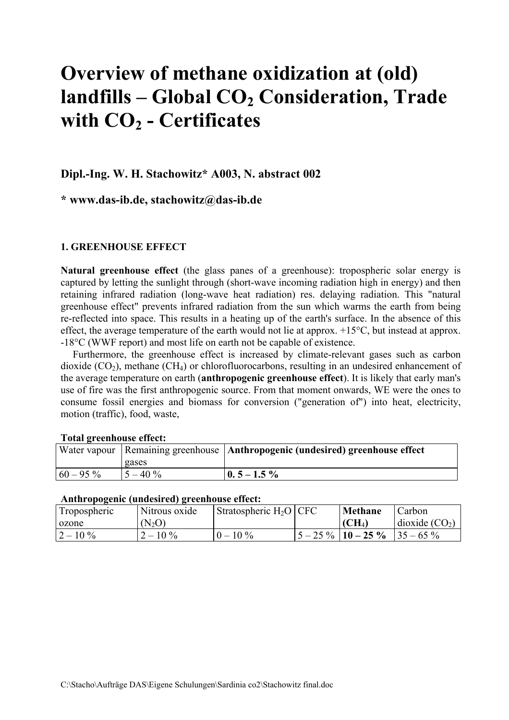# **Overview of methane oxidization at (old)**  landfills – Global CO<sub>2</sub> Consideration, Trade **with CO2 - Certificates**

### **Dipl.-Ing. W. H. Stachowitz\* A003, N. abstract 002**

**\* www.das-ib.de, stachowitz@das-ib.de** 

#### **1. GREENHOUSE EFFECT**

**Natural greenhouse effect** (the glass panes of a greenhouse): tropospheric solar energy is captured by letting the sunlight through (short-wave incoming radiation high in energy) and then retaining infrared radiation (long-wave heat radiation) res. delaying radiation. This "natural greenhouse effect" prevents infrared radiation from the sun which warms the earth from being re-reflected into space. This results in a heating up of the earth's surface. In the absence of this effect, the average temperature of the earth would not lie at approx. +15°C, but instead at approx. -18°C (WWF report) and most life on earth not be capable of existence.

Furthermore, the greenhouse effect is increased by climate-relevant gases such as carbon dioxide  $(CO_2)$ , methane  $(CH_4)$  or chlorofluorocarbons, resulting in an undesired enhancement of the average temperature on earth (**anthropogenic greenhouse effect**). It is likely that early man's use of fire was the first anthropogenic source. From that moment onwards, WE were the ones to consume fossil energies and biomass for conversion ("generation of") into heat, electricity, motion (traffic), food, waste,

#### **Total greenhouse effect:**

|             |            | Water vapour   Remaining greenhouse   Anthropogenic (undesired) greenhouse effect |
|-------------|------------|-----------------------------------------------------------------------------------|
|             | gases      |                                                                                   |
| $60 - 95\%$ | $5 - 40\%$ | $\vert 0.5 - 1.5 \% \vert$                                                        |

#### **Anthropogenic (undesired) greenhouse effect:**

| Tropospheric | Nitrous oxide  | Stratospheric $H_2O$ CFC | Methane                | Carbon                   |
|--------------|----------------|--------------------------|------------------------|--------------------------|
| ozone        | $(N_2O)$       |                          | $\rm (CH_4)$           | $\vert$ dioxide $(CO_2)$ |
| $2 - 10\%$   | $\sim$ 10 $\%$ | $0 - 10\%$               | $5 - 25\%$   10 - 25 % | $135 - 65\%$             |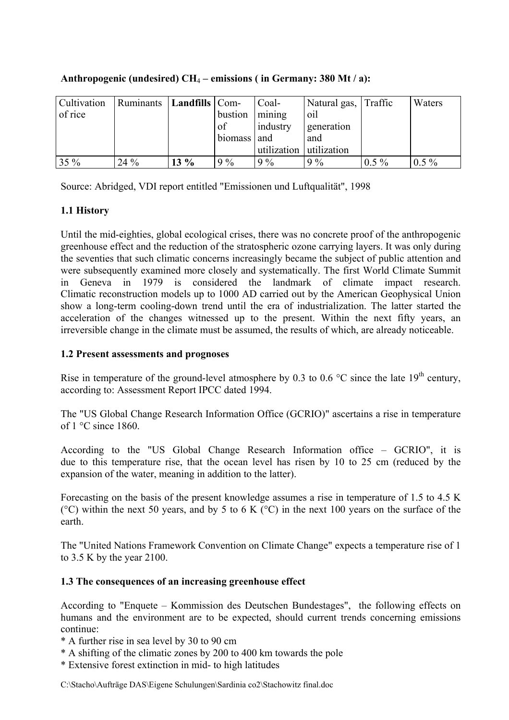| Cultivation | Ruminants   Landfills   Com- |        |             | Coal-       | Natural gas, Traffic |         | Waters  |
|-------------|------------------------------|--------|-------------|-------------|----------------------|---------|---------|
| of rice     |                              |        | bustion     | mining      | oil                  |         |         |
|             |                              |        | of          | industry    | generation           |         |         |
|             |                              |        | biomass and |             | and                  |         |         |
|             |                              |        |             | utilization | utilization          |         |         |
| $35\%$      | $24\%$                       | $13\%$ | 9%          | $9\%$       | $9\%$                | $0.5\%$ | $0.5\%$ |

**Anthropogenic (undesired) CH**4 **– emissions ( in Germany: 380 Mt / a):**

Source: Abridged, VDI report entitled "Emissionen und Luftqualität", 1998

# **1.1 History**

Until the mid-eighties, global ecological crises, there was no concrete proof of the anthropogenic greenhouse effect and the reduction of the stratospheric ozone carrying layers. It was only during the seventies that such climatic concerns increasingly became the subject of public attention and were subsequently examined more closely and systematically. The first World Climate Summit in Geneva in 1979 is considered the landmark of climate impact research. Climatic reconstruction models up to 1000 AD carried out by the American Geophysical Union show a long-term cooling-down trend until the era of industrialization. The latter started the acceleration of the changes witnessed up to the present. Within the next fifty years, an irreversible change in the climate must be assumed, the results of which, are already noticeable.

# **1.2 Present assessments and prognoses**

Rise in temperature of the ground-level atmosphere by 0.3 to 0.6  $^{\circ}$ C since the late 19<sup>th</sup> century, according to: Assessment Report IPCC dated 1994.

The "US Global Change Research Information Office (GCRIO)" ascertains a rise in temperature of 1 °C since 1860.

According to the "US Global Change Research Information office – GCRIO", it is due to this temperature rise, that the ocean level has risen by 10 to 25 cm (reduced by the expansion of the water, meaning in addition to the latter).

Forecasting on the basis of the present knowledge assumes a rise in temperature of 1.5 to 4.5 K ( $^{\circ}$ C) within the next 50 years, and by 5 to 6 K ( $^{\circ}$ C) in the next 100 years on the surface of the earth.

The "United Nations Framework Convention on Climate Change" expects a temperature rise of 1 to 3.5 K by the year 2100.

# **1.3 The consequences of an increasing greenhouse effect**

According to "Enquete – Kommission des Deutschen Bundestages", the following effects on humans and the environment are to be expected, should current trends concerning emissions continue:

- \* A further rise in sea level by 30 to 90 cm
- \* A shifting of the climatic zones by 200 to 400 km towards the pole
- \* Extensive forest extinction in mid- to high latitudes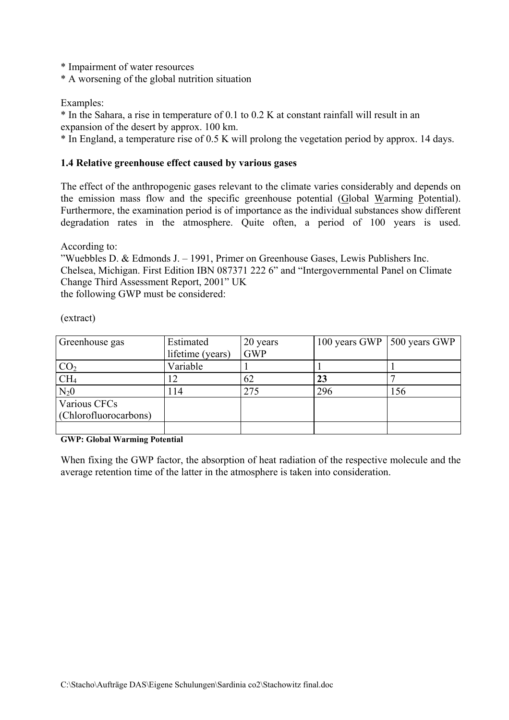\* Impairment of water resources

\* A worsening of the global nutrition situation

Examples:

\* In the Sahara, a rise in temperature of 0.1 to 0.2 K at constant rainfall will result in an expansion of the desert by approx. 100 km.

\* In England, a temperature rise of 0.5 K will prolong the vegetation period by approx. 14 days.

#### **1.4 Relative greenhouse effect caused by various gases**

The effect of the anthropogenic gases relevant to the climate varies considerably and depends on the emission mass flow and the specific greenhouse potential (Global Warming Potential). Furthermore, the examination period is of importance as the individual substances show different degradation rates in the atmosphere. Quite often, a period of 100 years is used.

According to:

"Wuebbles D. & Edmonds J. – 1991, Primer on Greenhouse Gases, Lewis Publishers Inc. Chelsea, Michigan. First Edition IBN 087371 222 6" and "Intergovernmental Panel on Climate Change Third Assessment Report, 2001" UK

the following GWP must be considered:

| Greenhouse gas        | Estimated<br>lifetime (years) | 20 years<br><b>GWP</b> | 100 years GWP   500 years GWP |     |
|-----------------------|-------------------------------|------------------------|-------------------------------|-----|
|                       |                               |                        |                               |     |
| CO <sub>2</sub>       | Variable                      |                        |                               |     |
| CH <sub>4</sub>       | 12                            | 62                     | 23                            |     |
| $N_20$                | l 14                          | 275                    | 296                           | 156 |
| Various CFCs          |                               |                        |                               |     |
| (Chlorofluorocarbons) |                               |                        |                               |     |
|                       |                               |                        |                               |     |

(extract)

**GWP: Global Warming Potential** 

When fixing the GWP factor, the absorption of heat radiation of the respective molecule and the average retention time of the latter in the atmosphere is taken into consideration.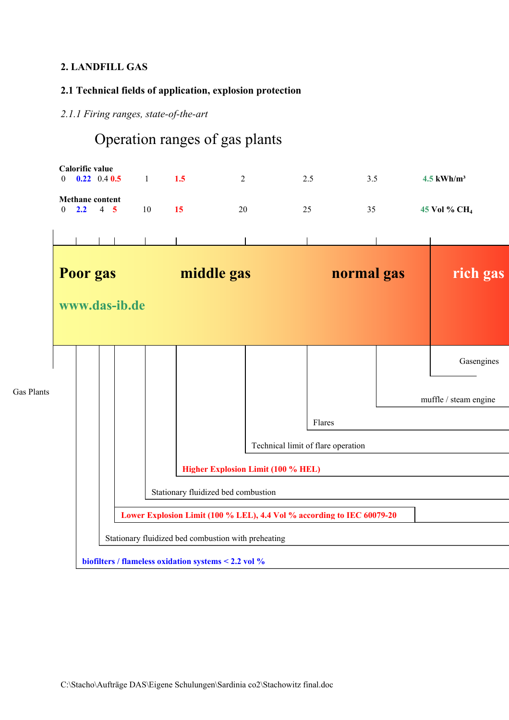# **2. LANDFILL GAS**

# **2.1 Technical fields of application, explosion protection**

#### *2.1.1 Firing ranges, state-of-the-art*

# Operation ranges of gas plants

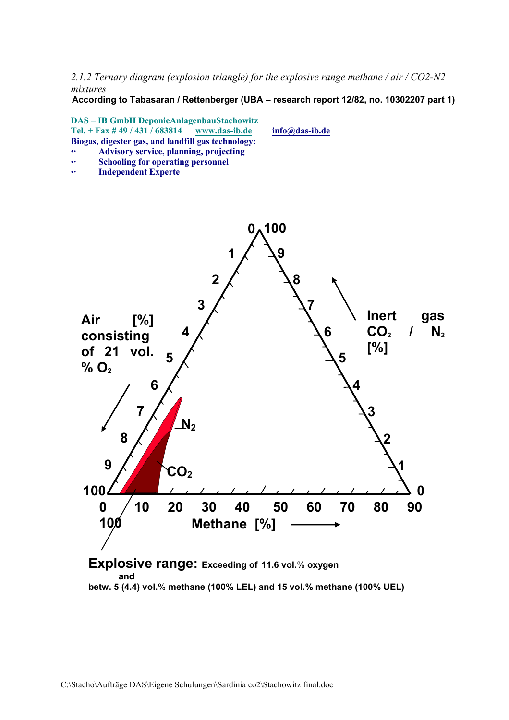*2.1.2 Ternary diagram (explosion triangle) for the explosive range methane / air / CO2-N2 mixtures* 

**According to Tabasaran / Rettenberger (UBA – research report 12/82, no. 10302207 part 1)**



**betw. 5 (4.4) vol.**% **methane (100% LEL) and 15 vol.% methane (100% UEL)**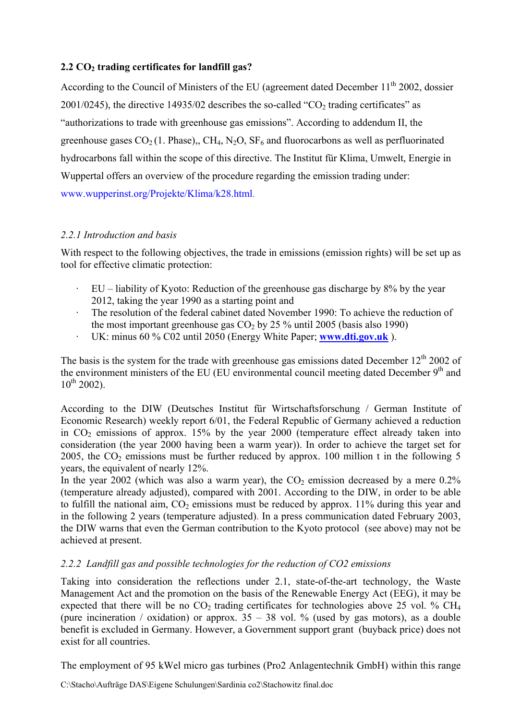# **2.2 CO2 trading certificates for landfill gas?**

According to the Council of Ministers of the EU (agreement dated December 11<sup>th</sup> 2002, dossier  $2001/0245$ ), the directive 14935/02 describes the so-called "CO<sub>2</sub> trading certificates" as "authorizations to trade with greenhouse gas emissions". According to addendum II, the greenhouse gases  $CO_2(1)$ . Phase),, CH<sub>4</sub>, N<sub>2</sub>O, SF<sub>6</sub> and fluorocarbons as well as perfluorinated hydrocarbons fall within the scope of this directive. The Institut für Klima, Umwelt, Energie in Wuppertal offers an overview of the procedure regarding the emission trading under: www.wupperinst.org/Projekte/Klima/k28.html.

#### *2.2.1 Introduction and basis*

With respect to the following objectives, the trade in emissions (emission rights) will be set up as tool for effective climatic protection:

- $\cdot$  EU liability of Kyoto: Reduction of the greenhouse gas discharge by 8% by the year 2012, taking the year 1990 as a starting point and
- · The resolution of the federal cabinet dated November 1990: To achieve the reduction of the most important greenhouse gas  $CO<sub>2</sub>$  by 25 % until 2005 (basis also 1990)
- · UK: minus 60 % C02 until 2050 (Energy White Paper; **[www.dti.gov.uk](http://www.dti.gov.uk/)** ).

The basis is the system for the trade with greenhouse gas emissions dated December  $12<sup>th</sup> 2002$  of the environment ministers of the EU (EU environmental council meeting dated December 9<sup>th</sup> and  $10^{th}$  2002).

According to the DIW (Deutsches Institut für Wirtschaftsforschung / German Institute of Economic Research) weekly report 6/01, the Federal Republic of Germany achieved a reduction in  $CO<sub>2</sub>$  emissions of approx. 15% by the year 2000 (temperature effect already taken into consideration (the year 2000 having been a warm year)). In order to achieve the target set for 2005, the  $CO<sub>2</sub>$  emissions must be further reduced by approx. 100 million t in the following 5 years, the equivalent of nearly 12%.

In the year 2002 (which was also a warm year), the  $CO<sub>2</sub>$  emission decreased by a mere 0.2% (temperature already adjusted), compared with 2001. According to the DIW, in order to be able to fulfill the national aim,  $CO<sub>2</sub>$  emissions must be reduced by approx. 11% during this year and in the following 2 years (temperature adjusted). In a press communication dated February 2003, the DIW warns that even the German contribution to the Kyoto protocol (see above) may not be achieved at present.

#### *2.2.2 Landfill gas and possible technologies for the reduction of CO2 emissions*

Taking into consideration the reflections under 2.1, state-of-the-art technology, the Waste Management Act and the promotion on the basis of the Renewable Energy Act (EEG), it may be expected that there will be no  $CO<sub>2</sub>$  trading certificates for technologies above 25 vol. % CH<sub>4</sub> (pure incineration / oxidation) or approx.  $35 - 38$  vol. % (used by gas motors), as a double benefit is excluded in Germany. However, a Government support grant (buyback price) does not exist for all countries.

The employment of 95 kWel micro gas turbines (Pro2 Anlagentechnik GmbH) within this range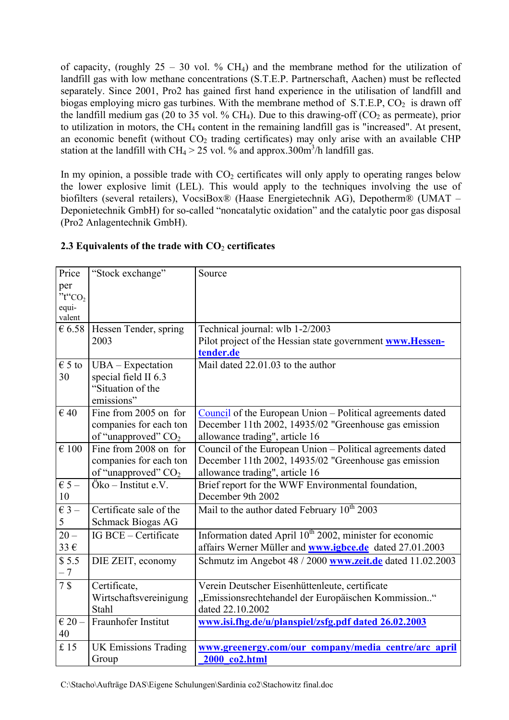of capacity, (roughly  $25 - 30$  vol. % CH<sub>4</sub>) and the membrane method for the utilization of landfill gas with low methane concentrations (S.T.E.P. Partnerschaft, Aachen) must be reflected separately. Since 2001, Pro2 has gained first hand experience in the utilisation of landfill and biogas employing micro gas turbines. With the membrane method of  $S.T.E.P, CO<sub>2</sub>$  is drawn off the landfill medium gas (20 to 35 vol. % CH<sub>4</sub>). Due to this drawing-off (CO<sub>2</sub> as permeate), prior to utilization in motors, the  $CH_4$  content in the remaining landfill gas is "increased". At present, an economic benefit (without  $CO<sub>2</sub>$  trading certificates) may only arise with an available CHP station at the landfill with CH<sub>4</sub> > 25 vol. % and approx.300m<sup>3</sup>/h landfill gas.

In my opinion, a possible trade with  $CO<sub>2</sub>$  certificates will only apply to operating ranges below the lower explosive limit (LEL). This would apply to the techniques involving the use of biofilters (several retailers), VocsiBox® (Haase Energietechnik AG), Depotherm® (UMAT – Deponietechnik GmbH) for so-called "noncatalytic oxidation" and the catalytic poor gas disposal (Pro2 Anlagentechnik GmbH).

| per<br>" $t$ " $CO2$<br>equi-<br>valent<br>$\epsilon$ 6.58<br>Hessen Tender, spring<br>Technical journal: wlb 1-2/2003<br>2003<br>Pilot project of the Hessian state government www.Hessen-<br>tender.de<br>$\epsilon$ 5 to<br>Mail dated 22.01.03 to the author<br>$UBA - Expectation$<br>30<br>special field II 6.3<br>"Situation of the<br>emissions"<br>$\epsilon$ 40<br>Fine from 2005 on for<br>Council of the European Union – Political agreements dated<br>December 11th 2002, 14935/02 "Greenhouse gas emission<br>companies for each ton<br>of "unapproved" CO <sub>2</sub><br>allowance trading", article 16<br>$\epsilon$ 100<br>Fine from 2008 on for<br>Council of the European Union – Political agreements dated<br>December 11th 2002, 14935/02 "Greenhouse gas emission<br>companies for each ton<br>of "unapproved" CO <sub>2</sub><br>allowance trading", article 16<br>Brief report for the WWF Environmental foundation,<br>$\epsilon$ 5 –<br>Öko – Institut e.V.<br>10<br>December 9th 2002<br>$\epsilon$ 3 –<br>Mail to the author dated February 10 <sup>th</sup> 2003<br>Certificate sale of the<br>5<br>Schmack Biogas AG<br>Information dated April 10 <sup>th</sup> 2002, minister for economic<br>$20 -$<br>IG BCE - Certificate<br>33€<br>affairs Werner Müller and <b>www.igbce.de</b> dated 27.01.2003<br>\$5.5<br>Schmutz im Angebot 48 / 2000 www.zeit.de dated 11.02.2003<br>DIE ZEIT, economy<br>$-7$<br>7 <sub>s</sub><br>Certificate,<br>Verein Deutscher Eisenhüttenleute, certificate<br>Wirtschaftsvereinigung<br>"Emissionsrechtehandel der Europäischen Kommission."<br>dated 22.10.2002<br>Stahl<br>Fraunhofer Institut<br>$\in$ 20 -<br>www.isi.fhg.de/u/planspiel/zsfg.pdf dated 26.02.2003<br>40<br>£15<br><b>UK Emissions Trading</b><br>www.greenergy.com/our company/media centre/arc april | Price | "Stock exchange" | Source        |
|-------------------------------------------------------------------------------------------------------------------------------------------------------------------------------------------------------------------------------------------------------------------------------------------------------------------------------------------------------------------------------------------------------------------------------------------------------------------------------------------------------------------------------------------------------------------------------------------------------------------------------------------------------------------------------------------------------------------------------------------------------------------------------------------------------------------------------------------------------------------------------------------------------------------------------------------------------------------------------------------------------------------------------------------------------------------------------------------------------------------------------------------------------------------------------------------------------------------------------------------------------------------------------------------------------------------------------------------------------------------------------------------------------------------------------------------------------------------------------------------------------------------------------------------------------------------------------------------------------------------------------------------------------------------------------------------------------------------------------------------------------------------------------------------------------------------------------------------------|-------|------------------|---------------|
|                                                                                                                                                                                                                                                                                                                                                                                                                                                                                                                                                                                                                                                                                                                                                                                                                                                                                                                                                                                                                                                                                                                                                                                                                                                                                                                                                                                                                                                                                                                                                                                                                                                                                                                                                                                                                                                 |       |                  |               |
|                                                                                                                                                                                                                                                                                                                                                                                                                                                                                                                                                                                                                                                                                                                                                                                                                                                                                                                                                                                                                                                                                                                                                                                                                                                                                                                                                                                                                                                                                                                                                                                                                                                                                                                                                                                                                                                 |       |                  |               |
|                                                                                                                                                                                                                                                                                                                                                                                                                                                                                                                                                                                                                                                                                                                                                                                                                                                                                                                                                                                                                                                                                                                                                                                                                                                                                                                                                                                                                                                                                                                                                                                                                                                                                                                                                                                                                                                 |       |                  |               |
|                                                                                                                                                                                                                                                                                                                                                                                                                                                                                                                                                                                                                                                                                                                                                                                                                                                                                                                                                                                                                                                                                                                                                                                                                                                                                                                                                                                                                                                                                                                                                                                                                                                                                                                                                                                                                                                 |       |                  |               |
|                                                                                                                                                                                                                                                                                                                                                                                                                                                                                                                                                                                                                                                                                                                                                                                                                                                                                                                                                                                                                                                                                                                                                                                                                                                                                                                                                                                                                                                                                                                                                                                                                                                                                                                                                                                                                                                 |       |                  |               |
|                                                                                                                                                                                                                                                                                                                                                                                                                                                                                                                                                                                                                                                                                                                                                                                                                                                                                                                                                                                                                                                                                                                                                                                                                                                                                                                                                                                                                                                                                                                                                                                                                                                                                                                                                                                                                                                 |       |                  |               |
|                                                                                                                                                                                                                                                                                                                                                                                                                                                                                                                                                                                                                                                                                                                                                                                                                                                                                                                                                                                                                                                                                                                                                                                                                                                                                                                                                                                                                                                                                                                                                                                                                                                                                                                                                                                                                                                 |       |                  |               |
|                                                                                                                                                                                                                                                                                                                                                                                                                                                                                                                                                                                                                                                                                                                                                                                                                                                                                                                                                                                                                                                                                                                                                                                                                                                                                                                                                                                                                                                                                                                                                                                                                                                                                                                                                                                                                                                 |       |                  |               |
|                                                                                                                                                                                                                                                                                                                                                                                                                                                                                                                                                                                                                                                                                                                                                                                                                                                                                                                                                                                                                                                                                                                                                                                                                                                                                                                                                                                                                                                                                                                                                                                                                                                                                                                                                                                                                                                 |       |                  |               |
|                                                                                                                                                                                                                                                                                                                                                                                                                                                                                                                                                                                                                                                                                                                                                                                                                                                                                                                                                                                                                                                                                                                                                                                                                                                                                                                                                                                                                                                                                                                                                                                                                                                                                                                                                                                                                                                 |       |                  |               |
|                                                                                                                                                                                                                                                                                                                                                                                                                                                                                                                                                                                                                                                                                                                                                                                                                                                                                                                                                                                                                                                                                                                                                                                                                                                                                                                                                                                                                                                                                                                                                                                                                                                                                                                                                                                                                                                 |       |                  |               |
|                                                                                                                                                                                                                                                                                                                                                                                                                                                                                                                                                                                                                                                                                                                                                                                                                                                                                                                                                                                                                                                                                                                                                                                                                                                                                                                                                                                                                                                                                                                                                                                                                                                                                                                                                                                                                                                 |       |                  |               |
|                                                                                                                                                                                                                                                                                                                                                                                                                                                                                                                                                                                                                                                                                                                                                                                                                                                                                                                                                                                                                                                                                                                                                                                                                                                                                                                                                                                                                                                                                                                                                                                                                                                                                                                                                                                                                                                 |       |                  |               |
|                                                                                                                                                                                                                                                                                                                                                                                                                                                                                                                                                                                                                                                                                                                                                                                                                                                                                                                                                                                                                                                                                                                                                                                                                                                                                                                                                                                                                                                                                                                                                                                                                                                                                                                                                                                                                                                 |       |                  |               |
|                                                                                                                                                                                                                                                                                                                                                                                                                                                                                                                                                                                                                                                                                                                                                                                                                                                                                                                                                                                                                                                                                                                                                                                                                                                                                                                                                                                                                                                                                                                                                                                                                                                                                                                                                                                                                                                 |       |                  |               |
|                                                                                                                                                                                                                                                                                                                                                                                                                                                                                                                                                                                                                                                                                                                                                                                                                                                                                                                                                                                                                                                                                                                                                                                                                                                                                                                                                                                                                                                                                                                                                                                                                                                                                                                                                                                                                                                 |       |                  |               |
|                                                                                                                                                                                                                                                                                                                                                                                                                                                                                                                                                                                                                                                                                                                                                                                                                                                                                                                                                                                                                                                                                                                                                                                                                                                                                                                                                                                                                                                                                                                                                                                                                                                                                                                                                                                                                                                 |       |                  |               |
|                                                                                                                                                                                                                                                                                                                                                                                                                                                                                                                                                                                                                                                                                                                                                                                                                                                                                                                                                                                                                                                                                                                                                                                                                                                                                                                                                                                                                                                                                                                                                                                                                                                                                                                                                                                                                                                 |       |                  |               |
|                                                                                                                                                                                                                                                                                                                                                                                                                                                                                                                                                                                                                                                                                                                                                                                                                                                                                                                                                                                                                                                                                                                                                                                                                                                                                                                                                                                                                                                                                                                                                                                                                                                                                                                                                                                                                                                 |       |                  |               |
|                                                                                                                                                                                                                                                                                                                                                                                                                                                                                                                                                                                                                                                                                                                                                                                                                                                                                                                                                                                                                                                                                                                                                                                                                                                                                                                                                                                                                                                                                                                                                                                                                                                                                                                                                                                                                                                 |       |                  |               |
|                                                                                                                                                                                                                                                                                                                                                                                                                                                                                                                                                                                                                                                                                                                                                                                                                                                                                                                                                                                                                                                                                                                                                                                                                                                                                                                                                                                                                                                                                                                                                                                                                                                                                                                                                                                                                                                 |       |                  |               |
|                                                                                                                                                                                                                                                                                                                                                                                                                                                                                                                                                                                                                                                                                                                                                                                                                                                                                                                                                                                                                                                                                                                                                                                                                                                                                                                                                                                                                                                                                                                                                                                                                                                                                                                                                                                                                                                 |       |                  |               |
|                                                                                                                                                                                                                                                                                                                                                                                                                                                                                                                                                                                                                                                                                                                                                                                                                                                                                                                                                                                                                                                                                                                                                                                                                                                                                                                                                                                                                                                                                                                                                                                                                                                                                                                                                                                                                                                 |       |                  |               |
|                                                                                                                                                                                                                                                                                                                                                                                                                                                                                                                                                                                                                                                                                                                                                                                                                                                                                                                                                                                                                                                                                                                                                                                                                                                                                                                                                                                                                                                                                                                                                                                                                                                                                                                                                                                                                                                 |       |                  |               |
|                                                                                                                                                                                                                                                                                                                                                                                                                                                                                                                                                                                                                                                                                                                                                                                                                                                                                                                                                                                                                                                                                                                                                                                                                                                                                                                                                                                                                                                                                                                                                                                                                                                                                                                                                                                                                                                 |       |                  |               |
|                                                                                                                                                                                                                                                                                                                                                                                                                                                                                                                                                                                                                                                                                                                                                                                                                                                                                                                                                                                                                                                                                                                                                                                                                                                                                                                                                                                                                                                                                                                                                                                                                                                                                                                                                                                                                                                 |       |                  |               |
|                                                                                                                                                                                                                                                                                                                                                                                                                                                                                                                                                                                                                                                                                                                                                                                                                                                                                                                                                                                                                                                                                                                                                                                                                                                                                                                                                                                                                                                                                                                                                                                                                                                                                                                                                                                                                                                 |       |                  |               |
|                                                                                                                                                                                                                                                                                                                                                                                                                                                                                                                                                                                                                                                                                                                                                                                                                                                                                                                                                                                                                                                                                                                                                                                                                                                                                                                                                                                                                                                                                                                                                                                                                                                                                                                                                                                                                                                 |       |                  |               |
|                                                                                                                                                                                                                                                                                                                                                                                                                                                                                                                                                                                                                                                                                                                                                                                                                                                                                                                                                                                                                                                                                                                                                                                                                                                                                                                                                                                                                                                                                                                                                                                                                                                                                                                                                                                                                                                 |       |                  |               |
|                                                                                                                                                                                                                                                                                                                                                                                                                                                                                                                                                                                                                                                                                                                                                                                                                                                                                                                                                                                                                                                                                                                                                                                                                                                                                                                                                                                                                                                                                                                                                                                                                                                                                                                                                                                                                                                 |       |                  |               |
|                                                                                                                                                                                                                                                                                                                                                                                                                                                                                                                                                                                                                                                                                                                                                                                                                                                                                                                                                                                                                                                                                                                                                                                                                                                                                                                                                                                                                                                                                                                                                                                                                                                                                                                                                                                                                                                 |       |                  |               |
|                                                                                                                                                                                                                                                                                                                                                                                                                                                                                                                                                                                                                                                                                                                                                                                                                                                                                                                                                                                                                                                                                                                                                                                                                                                                                                                                                                                                                                                                                                                                                                                                                                                                                                                                                                                                                                                 |       | Group            | 2000 co2.html |

# **2.3 Equivalents of the trade with CO**2 **certificates**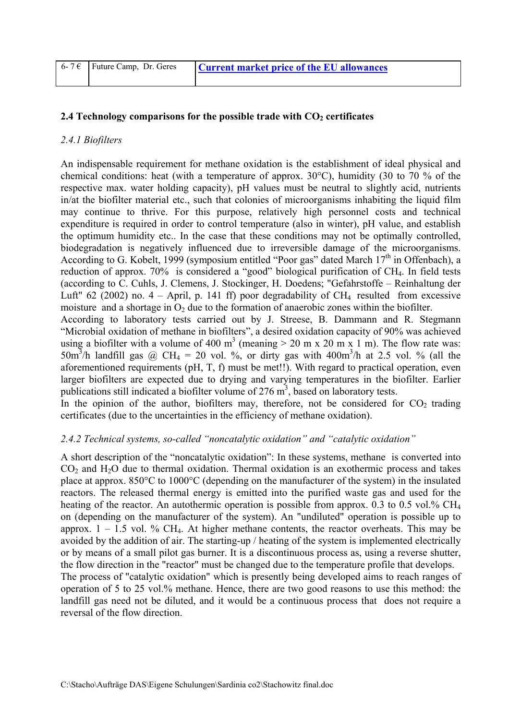| 6-7 € Future Camp, Dr. Geres | <b>Current market price of the EU allowances</b> |
|------------------------------|--------------------------------------------------|
|                              |                                                  |

#### **2.4 Technology comparisons for the possible trade with CO<sub>2</sub> certificates**

#### *2.4.1 Biofilters*

An indispensable requirement for methane oxidation is the establishment of ideal physical and chemical conditions: heat (with a temperature of approx. 30°C), humidity (30 to 70 % of the respective max. water holding capacity), pH values must be neutral to slightly acid, nutrients in/at the biofilter material etc., such that colonies of microorganisms inhabiting the liquid film may continue to thrive. For this purpose, relatively high personnel costs and technical expenditure is required in order to control temperature (also in winter), pH value, and establish the optimum humidity etc.. In the case that these conditions may not be optimally controlled, biodegradation is negatively influenced due to irreversible damage of the microorganisms. According to G. Kobelt, 1999 (symposium entitled "Poor gas" dated March 17<sup>th</sup> in Offenbach), a reduction of approx. 70% is considered a "good" biological purification of CH4. In field tests (according to C. Cuhls, J. Clemens, J. Stockinger, H. Doedens; "Gefahrstoffe – Reinhaltung der Luft" 62 (2002) no.  $4 -$ April, p. 141 ff) poor degradability of CH<sub>4</sub> resulted from excessive moisture and a shortage in  $O_2$  due to the formation of anaerobic zones within the biofilter.

According to laboratory tests carried out by J. Streese, B. Dammann and R. Stegmann "Microbial oxidation of methane in biofilters", a desired oxidation capacity of 90% was achieved using a biofilter with a volume of 400 m<sup>3</sup> (meaning  $> 20$  m x 20 m x 1 m). The flow rate was: 50m<sup>3</sup>/h landfill gas @ CH<sub>4</sub> = 20 vol. %, or dirty gas with 400m<sup>3</sup>/h at 2.5 vol. % (all the aforementioned requirements (pH, T, f) must be met!!). With regard to practical operation, even larger biofilters are expected due to drying and varying temperatures in the biofilter. Earlier publications still indicated a biofilter volume of  $276 \text{ m}^3$ , based on laboratory tests.

In the opinion of the author, biofilters may, therefore, not be considered for  $CO<sub>2</sub>$  trading certificates (due to the uncertainties in the efficiency of methane oxidation).

#### *2.4.2 Technical systems, so-called "noncatalytic oxidation" and "catalytic oxidation"*

A short description of the "noncatalytic oxidation": In these systems, methane is converted into  $CO<sub>2</sub>$  and  $H<sub>2</sub>O$  due to thermal oxidation. Thermal oxidation is an exothermic process and takes place at approx. 850°C to 1000°C (depending on the manufacturer of the system) in the insulated reactors. The released thermal energy is emitted into the purified waste gas and used for the heating of the reactor. An autothermic operation is possible from approx. 0.3 to 0.5 vol.% CH<sub>4</sub> on (depending on the manufacturer of the system). An "undiluted" operation is possible up to approx.  $1 - 1.5$  vol. % CH<sub>4</sub>. At higher methane contents, the reactor overheats. This may be avoided by the addition of air. The starting-up / heating of the system is implemented electrically or by means of a small pilot gas burner. It is a discontinuous process as, using a reverse shutter, the flow direction in the "reactor" must be changed due to the temperature profile that develops. The process of "catalytic oxidation" which is presently being developed aims to reach ranges of operation of 5 to 25 vol.% methane. Hence, there are two good reasons to use this method: the

landfill gas need not be diluted, and it would be a continuous process that does not require a reversal of the flow direction.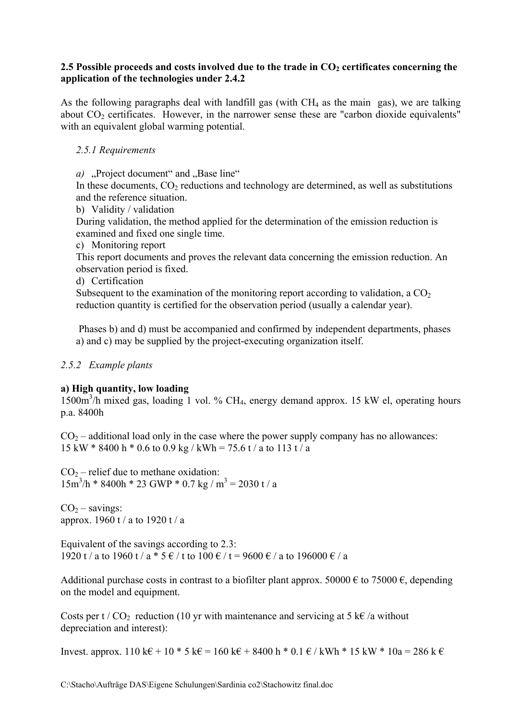#### 2.5 Possible proceeds and costs involved due to the trade in  $CO<sub>2</sub>$  certificates concerning the **application of the technologies under 2.4.2**

As the following paragraphs deal with landfill gas (with  $CH_4$  as the main gas), we are talking about  $CO<sub>2</sub>$  certificates. However, in the narrower sense these are "carbon dioxide equivalents" with an equivalent global warming potential.

#### *2.5.1 Requirements*

*a*) "Project document" and "Base line"

In these documents,  $CO<sub>2</sub>$  reductions and technology are determined, as well as substitutions and the reference situation.

b) Validity / validation

During validation, the method applied for the determination of the emission reduction is examined and fixed one single time.

c) Monitoring report

This report documents and proves the relevant data concerning the emission reduction. An observation period is fixed.

d) Certification

Subsequent to the examination of the monitoring report according to validation, a  $CO<sub>2</sub>$ reduction quantity is certified for the observation period (usually a calendar year).

 Phases b) and d) must be accompanied and confirmed by independent departments, phases a) and c) may be supplied by the project-executing organization itself.

### *2.5.2 Example plants*

#### **a) High quantity, low loading**

1500m3 /h mixed gas, loading 1 vol. % CH4, energy demand approx. 15 kW el, operating hours p.a. 8400h

 $CO<sub>2</sub>$  – additional load only in the case where the power supply company has no allowances: 15 kW  $*$  8400 h  $*$  0.6 to 0.9 kg / kWh = 75.6 t / a to 113 t / a

 $CO<sub>2</sub>$  – relief due to methane oxidation:  $15m^3/h * 8400h * 23$  GWP  $*$  0.7 kg / m<sup>3</sup> = 2030 t / a

 $CO<sub>2</sub> - savings:$ approx. 1960 t / a to 1920 t / a

Equivalent of the savings according to 2.3: 1920 t / a to 1960 t / a  $*$  5  $\epsilon$  / t to 100  $\epsilon$  / t = 9600  $\epsilon$  / a to 196000  $\epsilon$  / a

Additional purchase costs in contrast to a biofilter plant approx. 50000  $\epsilon$  to 75000  $\epsilon$ , depending on the model and equipment.

Costs per t /  $CO_2$  reduction (10 yr with maintenance and servicing at 5 k $\epsilon$  /a without depreciation and interest):

Invest. approx. 110 k€ + 10 \* 5 k€ = 160 k€ + 8400 h \* 0.1 € / kWh \* 15 kW \* 10a = 286 k €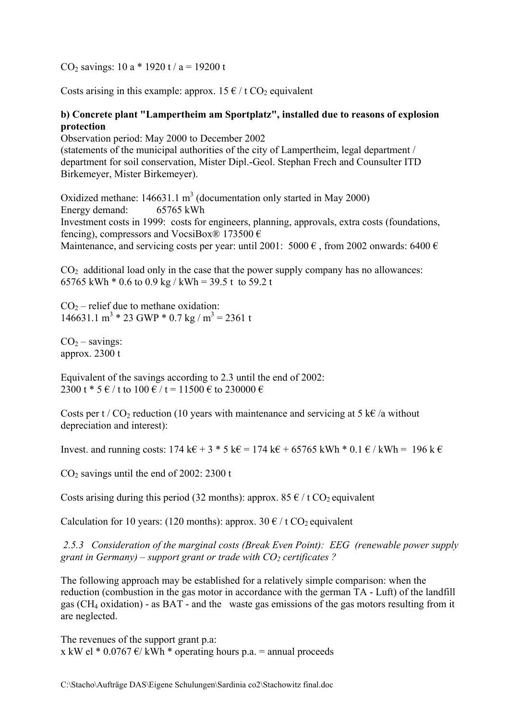CO<sub>2</sub> savings: 10 a  $*$  1920 t / a = 19200 t

Costs arising in this example: approx.  $15 \notin / t$  CO<sub>2</sub> equivalent

#### **b) Concrete plant "Lampertheim am Sportplatz", installed due to reasons of explosion protection**

Observation period: May 2000 to December 2002 (statements of the municipal authorities of the city of Lampertheim, legal department / department for soil conservation, Mister Dipl.-Geol. Stephan Frech and Counsulter ITD Birkemeyer, Mister Birkemeyer).

Oxidized methane:  $146631.1 \text{ m}^3$  (documentation only started in May 2000) Energy demand: 65765 kWh Investment costs in 1999: costs for engineers, planning, approvals, extra costs (foundations, fencing), compressors and VocsiBox<sup>®</sup> 173500  $\epsilon$ Maintenance, and servicing costs per year: until 2001: 5000  $\epsilon$ , from 2002 onwards: 6400  $\epsilon$ 

 $CO<sub>2</sub>$  additional load only in the case that the power supply company has no allowances: 65765 kWh  $*$  0.6 to 0.9 kg / kWh = 39.5 t to 59.2 t

 $CO<sub>2</sub>$  – relief due to methane oxidation: 146631.1 m<sup>3</sup> \* 23 GWP \* 0.7 kg / m<sup>3</sup> = 2361 t

 $CO<sub>2</sub> - savings:$ approx. 2300 t

Equivalent of the savings according to 2.3 until the end of 2002: 2300 t  $*$  5  $\in$  / t to 100  $\in$  / t = 11500  $\in$  to 230000  $\in$ 

Costs per t / CO<sub>2</sub> reduction (10 years with maintenance and servicing at 5 k $\epsilon$  /a without depreciation and interest):

Invest. and running costs:  $174 \text{ k} \in \mathbb{R}^3$  \* 5 k $\in \mathbb{R} = 174 \text{ k} \in \mathbb{R}^3$  + 65765 kWh \* 0.1  $\in \mathbb{R}$  kWh = 196 k  $\in \mathbb{R}$ 

 $CO<sub>2</sub>$  savings until the end of 2002: 2300 t

Costs arising during this period (32 months): approx. 85  $\epsilon$  / t CO<sub>2</sub> equivalent

Calculation for 10 years: (120 months): approx.  $30 \notin / t$  CO<sub>2</sub> equivalent

 *2.5.3 Consideration of the marginal costs (Break Even Point): EEG (renewable power supply grant in Germany) – support grant or trade with CO<sub>2</sub> certificates ?* 

The following approach may be established for a relatively simple comparison: when the reduction (combustion in the gas motor in accordance with the german TA - Luft) of the landfill gas (CH4 oxidation) - as BAT - and the waste gas emissions of the gas motors resulting from it are neglected.

The revenues of the support grant p.a: x kW el  $*$  0.0767  $\epsilon$ / kWh  $*$  operating hours p.a. = annual proceeds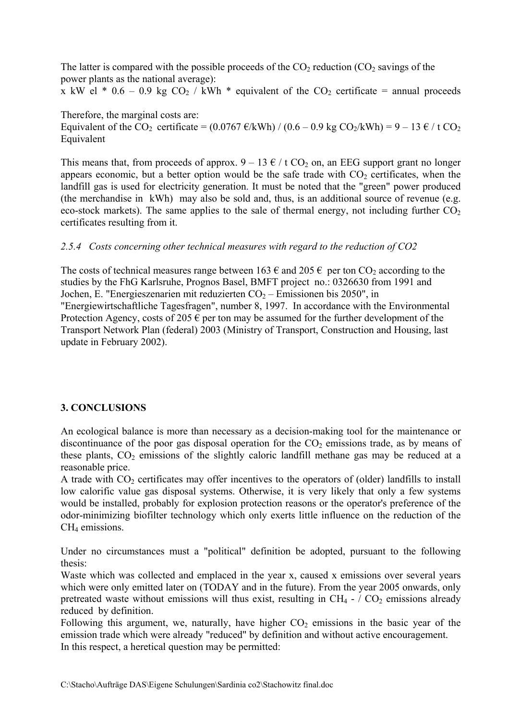The latter is compared with the possible proceeds of the  $CO<sub>2</sub>$  reduction ( $CO<sub>2</sub>$  savings of the power plants as the national average):

x kW el  $*$  0.6 – 0.9 kg CO<sub>2</sub> / kWh  $*$  equivalent of the CO<sub>2</sub> certificate = annual proceeds

Therefore, the marginal costs are: Equivalent of the CO<sub>2</sub> certificate = (0.0767  $\epsilon$ /kWh) / (0.6 – 0.9 kg CO<sub>2</sub>/kWh) = 9 – 13  $\epsilon$ /t CO<sub>2</sub> Equivalent

This means that, from proceeds of approx.  $9 - 13 \epsilon / t \text{CO}_2$  on, an EEG support grant no longer appears economic, but a better option would be the safe trade with  $CO<sub>2</sub>$  certificates, when the landfill gas is used for electricity generation. It must be noted that the "green" power produced (the merchandise in kWh) may also be sold and, thus, is an additional source of revenue (e.g. eco-stock markets). The same applies to the sale of thermal energy, not including further  $CO<sub>2</sub>$ certificates resulting from it.

# *2.5.4 Costs concerning other technical measures with regard to the reduction of CO2*

The costs of technical measures range between 163  $\epsilon$  and 205  $\epsilon$  per ton CO<sub>2</sub> according to the studies by the FhG Karlsruhe, Prognos Basel, BMFT project no.: 0326630 from 1991 and Jochen, E. "Energieszenarien mit reduzierten  $CO<sub>2</sub>$  – Emissionen bis 2050", in "Energiewirtschaftliche Tagesfragen", number 8, 1997. In accordance with the Environmental Protection Agency, costs of 205  $\epsilon$  per ton may be assumed for the further development of the Transport Network Plan (federal) 2003 (Ministry of Transport, Construction and Housing, last update in February 2002).

# **3. CONCLUSIONS**

An ecological balance is more than necessary as a decision-making tool for the maintenance or discontinuance of the poor gas disposal operation for the  $CO<sub>2</sub>$  emissions trade, as by means of these plants,  $CO<sub>2</sub>$  emissions of the slightly caloric landfill methane gas may be reduced at a reasonable price.

A trade with  $CO<sub>2</sub>$  certificates may offer incentives to the operators of (older) landfills to install low calorific value gas disposal systems. Otherwise, it is very likely that only a few systems would be installed, probably for explosion protection reasons or the operator's preference of the odor-minimizing biofilter technology which only exerts little influence on the reduction of the CH<sub>4</sub> emissions.

Under no circumstances must a "political" definition be adopted, pursuant to the following thesis:

Waste which was collected and emplaced in the year x, caused x emissions over several years which were only emitted later on (TODAY and in the future). From the year 2005 onwards, only pretreated waste without emissions will thus exist, resulting in  $CH_4$  -  $/$  CO<sub>2</sub> emissions already reduced by definition.

Following this argument, we, naturally, have higher  $CO<sub>2</sub>$  emissions in the basic year of the emission trade which were already "reduced" by definition and without active encouragement. In this respect, a heretical question may be permitted: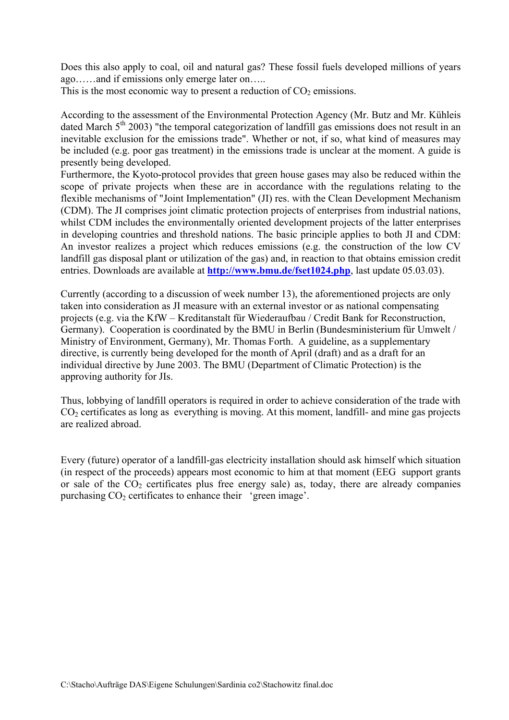Does this also apply to coal, oil and natural gas? These fossil fuels developed millions of years ago……and if emissions only emerge later on…..

This is the most economic way to present a reduction of  $CO<sub>2</sub>$  emissions.

According to the assessment of the Environmental Protection Agency (Mr. Butz and Mr. Kühleis dated March  $5<sup>th</sup>$  2003) "the temporal categorization of landfill gas emissions does not result in an inevitable exclusion for the emissions trade". Whether or not, if so, what kind of measures may be included (e.g. poor gas treatment) in the emissions trade is unclear at the moment. A guide is presently being developed.

Furthermore, the Kyoto-protocol provides that green house gases may also be reduced within the scope of private projects when these are in accordance with the regulations relating to the flexible mechanisms of "Joint Implementation" (JI) res. with the Clean Development Mechanism (CDM). The JI comprises joint climatic protection projects of enterprises from industrial nations, whilst CDM includes the environmentally oriented development projects of the latter enterprises in developing countries and threshold nations. The basic principle applies to both JI and CDM: An investor realizes a project which reduces emissions (e.g. the construction of the low CV landfill gas disposal plant or utilization of the gas) and, in reaction to that obtains emission credit entries. Downloads are available at **http://www.bmu.de/fset1024.php**, last update 05.03.03).

Currently (according to a discussion of week number 13), the aforementioned projects are only taken into consideration as JI measure with an external investor or as national compensating projects (e.g. via the KfW – Kreditanstalt für Wiederaufbau / Credit Bank for Reconstruction, Germany). Cooperation is coordinated by the BMU in Berlin (Bundesministerium für Umwelt / Ministry of Environment, Germany), Mr. Thomas Forth. A guideline, as a supplementary directive, is currently being developed for the month of April (draft) and as a draft for an individual directive by June 2003. The BMU (Department of Climatic Protection) is the approving authority for JIs.

Thus, lobbying of landfill operators is required in order to achieve consideration of the trade with  $CO<sub>2</sub>$  certificates as long as everything is moving. At this moment, landfill- and mine gas projects are realized abroad.

Every (future) operator of a landfill-gas electricity installation should ask himself which situation (in respect of the proceeds) appears most economic to him at that moment (EEG support grants or sale of the  $CO<sub>2</sub>$  certificates plus free energy sale) as, today, there are already companies purchasing  $CO<sub>2</sub>$  certificates to enhance their 'green image'.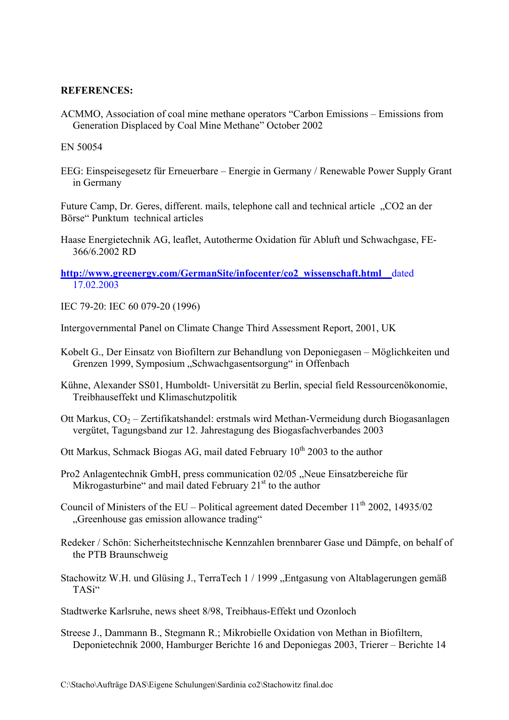#### **REFERENCES:**

ACMMO, Association of coal mine methane operators "Carbon Emissions – Emissions from Generation Displaced by Coal Mine Methane" October 2002

EN 50054

EEG: Einspeisegesetz für Erneuerbare – Energie in Germany / Renewable Power Supply Grant in Germany

Future Camp, Dr. Geres, different. mails, telephone call and technical article . CO2 an der Börse" Punktum technical articles

Haase Energietechnik AG, leaflet, Autotherme Oxidation für Abluft und Schwachgase, FE-366/6.2002 RD

#### **http://www.greenergy.com/GermanSite/infocenter/co2\_wissenschaft.html** dated 17.02.2003

IEC 79-20: IEC 60 079-20 (1996)

Intergovernmental Panel on Climate Change Third Assessment Report, 2001, UK

- Kobelt G., Der Einsatz von Biofiltern zur Behandlung von Deponiegasen Möglichkeiten und Grenzen 1999, Symposium "Schwachgasentsorgung" in Offenbach
- Kühne, Alexander SS01, Humboldt- Universität zu Berlin, special field Ressourcenökonomie, Treibhauseffekt und Klimaschutzpolitik
- Ott Markus,  $CO<sub>2</sub> Zertifikatshandel: erstmals wird Methan-Vermeidung durch Biogasanlagen$ vergütet, Tagungsband zur 12. Jahrestagung des Biogasfachverbandes 2003
- Ott Markus, Schmack Biogas AG, mail dated February  $10^{th}$  2003 to the author
- Pro2 Anlagentechnik GmbH, press communication 02/05 "Neue Einsatzbereiche für Mikrogasturbine" and mail dated February  $21<sup>st</sup>$  to the author
- Council of Ministers of the EU Political agreement dated December  $11<sup>th</sup>$  2002, 14935/02 "Greenhouse gas emission allowance trading"
- Redeker / Schön: Sicherheitstechnische Kennzahlen brennbarer Gase und Dämpfe, on behalf of the PTB Braunschweig
- Stachowitz W.H. und Glüsing J., TerraTech 1 / 1999 "Entgasung von Altablagerungen gemäß TASi"

Stadtwerke Karlsruhe, news sheet 8/98, Treibhaus-Effekt und Ozonloch

Streese J., Dammann B., Stegmann R.; Mikrobielle Oxidation von Methan in Biofiltern, Deponietechnik 2000, Hamburger Berichte 16 and Deponiegas 2003, Trierer – Berichte 14